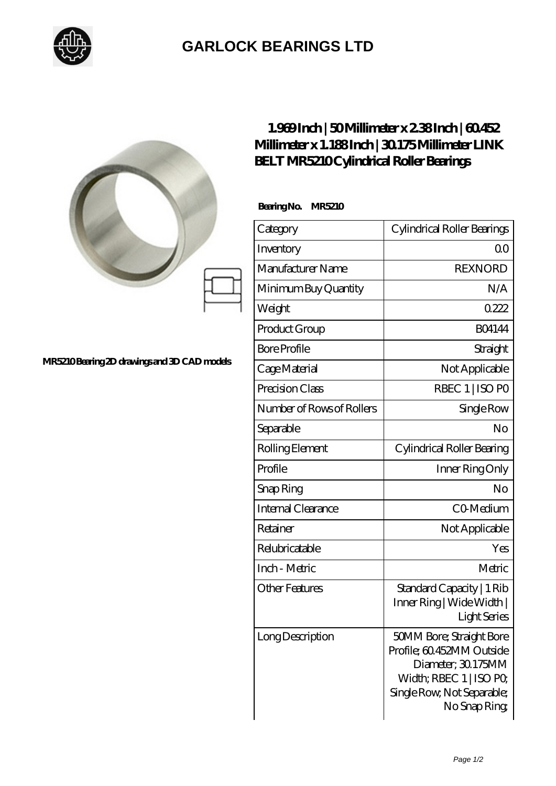

## **[GARLOCK BEARINGS LTD](https://m.letterstopriests.com)**

|                                  | $1.969$ Inch   50Millimeter x $2.38$ Inch   60.452<br>Millimeter x 1.188Inch   30175Millimeter LINK<br><b>BELT MR5210Cylindrical Roller Bearings</b> |                                                                                                                                                            |
|----------------------------------|------------------------------------------------------------------------------------------------------------------------------------------------------|------------------------------------------------------------------------------------------------------------------------------------------------------------|
|                                  | BearingNo.<br><b>MR5210</b>                                                                                                                          |                                                                                                                                                            |
|                                  | Category                                                                                                                                             | Cylindrical Roller Bearings                                                                                                                                |
| ng 2D drawings and 3D CAD models | Inventory                                                                                                                                            | 0 <sup>0</sup>                                                                                                                                             |
|                                  | Manufacturer Name                                                                                                                                    | <b>REXNORD</b>                                                                                                                                             |
|                                  | Minimum Buy Quantity                                                                                                                                 | N/A                                                                                                                                                        |
|                                  | Weight                                                                                                                                               | 0222                                                                                                                                                       |
|                                  | Product Group                                                                                                                                        | <b>BO4144</b>                                                                                                                                              |
|                                  | <b>Bore Profile</b>                                                                                                                                  | Straight                                                                                                                                                   |
|                                  | Cage Material                                                                                                                                        | Not Applicable                                                                                                                                             |
|                                  | Precision Class                                                                                                                                      | RBEC 1   ISO PO                                                                                                                                            |
|                                  | Number of Rows of Rollers                                                                                                                            | Single Row                                                                                                                                                 |
|                                  | Separable                                                                                                                                            | N <sub>o</sub>                                                                                                                                             |
|                                  | Rolling Element                                                                                                                                      | Cylindrical Roller Bearing                                                                                                                                 |
|                                  | Profile                                                                                                                                              | Inner Ring Only                                                                                                                                            |
|                                  | Snap Ring                                                                                                                                            | No                                                                                                                                                         |
|                                  | Internal Clearance                                                                                                                                   | CO-Medium                                                                                                                                                  |
|                                  | Retainer                                                                                                                                             | Not Applicable                                                                                                                                             |
|                                  | Relubricatable                                                                                                                                       | Yes                                                                                                                                                        |
|                                  | Inch - Metric                                                                                                                                        | Metric                                                                                                                                                     |
|                                  | <b>Other Features</b>                                                                                                                                | Standard Capacity   1 Rib<br>Inner Ring   Wide Width  <br><b>Light Series</b>                                                                              |
|                                  | Long Description                                                                                                                                     | <b>50MM Bore; Straight Bore</b><br>Profile; 60.452MM Outside<br>Diameter; 30.175MM<br>Width; RBEC 1   ISO PO<br>Single Row, Not Separable;<br>No Snap Ring |

MR5210 Bearin